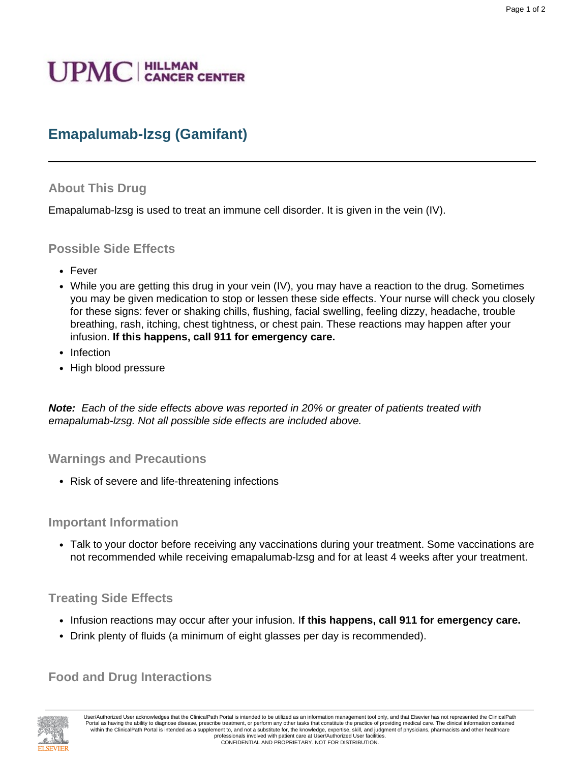# **UPMC** | HILLMAN

# **Emapalumab-lzsg (Gamifant)**

## **About This Drug**

Emapalumab-lzsg is used to treat an immune cell disorder. It is given in the vein (IV).

#### **Possible Side Effects**

- Fever
- While you are getting this drug in your vein (IV), you may have a reaction to the drug. Sometimes you may be given medication to stop or lessen these side effects. Your nurse will check you closely for these signs: fever or shaking chills, flushing, facial swelling, feeling dizzy, headache, trouble breathing, rash, itching, chest tightness, or chest pain. These reactions may happen after your infusion. **If this happens, call 911 for emergency care.**
- Infection
- High blood pressure

**Note:** Each of the side effects above was reported in 20% or greater of patients treated with emapalumab-lzsg. Not all possible side effects are included above.

#### **Warnings and Precautions**

• Risk of severe and life-threatening infections

#### **Important Information**

• Talk to your doctor before receiving any vaccinations during your treatment. Some vaccinations are not recommended while receiving emapalumab-lzsg and for at least 4 weeks after your treatment.

## **Treating Side Effects**

- Infusion reactions may occur after your infusion. I**f this happens, call 911 for emergency care.**
- Drink plenty of fluids (a minimum of eight glasses per day is recommended).

## **Food and Drug Interactions**